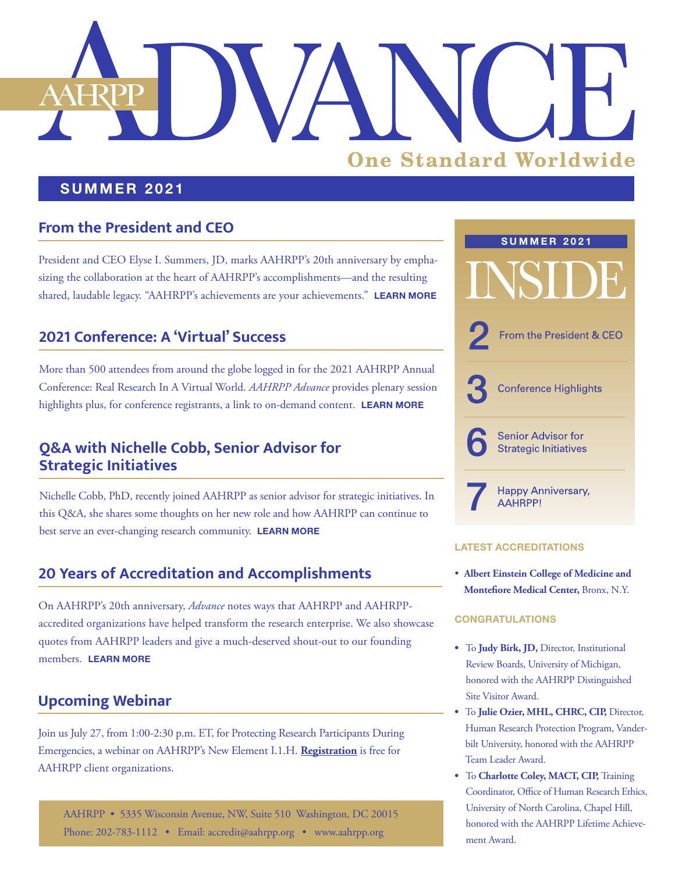# **One Standard Worldwide**

### **SUMMER 2021**

## **From the President and CEO**

President and CEO Elyse I. Summers, JD, marks AAHRPP's 20th anniversary by emphasizing the collaboration at the heart of AAHRPP's accomplishments—and the resulting shared, laudable legacy. "AAHRPP's achievements are your achievements." **[LEARN MORE](#page-1-0)**

## **2021 Conference: A 'Virtual' Success**

More than 500 attendees from around the globe logged in for the 2021 AAHRPP Annual Conference: Real Research In A Virtual World. *AAHRPP Advance* provides plenary session highlights plus, for conference registrants, a link to on-demand content. **[LEARN MORE](#page-2-0)**

## **Q&A with Nichelle Cobb, Senior Advisor for Strategic Initiatives**

Nichelle Cobb, PhD, recently joined AAHRPP as senior advisor for strategic initiatives. In this Q&A, she shares some thoughts on her new role and how AAHRPP can continue to best serve an ever-changing research community. **[LEARN MORE](#page-5-0)**

## **20 Years of Accreditation and Accomplishments**

On AAHRPP's 20th anniversary, *Advance* notes ways that AAHRPP and AAHRPPaccredited organizations have helped transform the research enterprise. We also showcase quotes from AAHRPP leaders and give a much-deserved shout-out to our founding members. **[LEARN MORE](#page-6-0)**

## **Upcoming Webinar**

Join us July 27, from 1:00-2:30 p.m. ET, for Protecting Research Participants During Emergencies, a webinar on AAHRPP's New Element I.1.H. **[Registration](https://web.cvent.com/event/4871b711-5851-4c8f-860d-ea4274b545c0/summary)** is free for AAHRPP client organizations.

AAHRPP • 5335 Wisconsin Avenue, NW, Suite 510 Washington, DC 20015 Phone: 202-783-1112 • Email: [accredit@aahrpp.org](mailto:accredit%40aahrpp.org?subject=) • [www.aahrpp.org](http://www.aahrpp.org)



#### **[LATEST ACCREDITATIONS](https://admin.aahrpp.org/Website%20Documents/2Q%202021%20AAHRPP%20accreditation%20FINAL.pdf)**

• **Albert Einstein College of Medicine and Montefiore Medical Center,** Bronx, N.Y.

#### **CONGRATULATIONS**

- To **Judy Birk, JD,** Director, Institutional Review Boards, University of Michigan, honored with the AAHRPP Distinguished Site Visitor Award.
- To **Julie Ozier, MHL, CHRC, CIP,** Director, Human Research Protection Program, Vanderbilt University, honored with the AAHRPP Team Leader Award.
- To **Charlotte Coley, MACT, CIP,** Training Coordinator, Office of Human Research Ethics, University of North Carolina, Chapel Hill, honored with the AAHRPP Lifetime Achievement Award.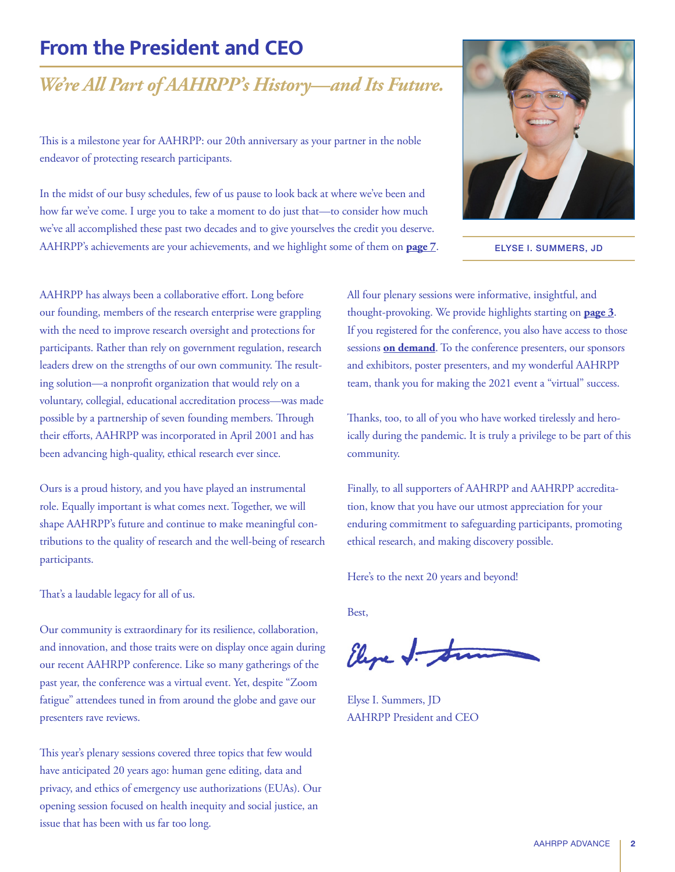# <span id="page-1-0"></span>**From the President and CEO**

# *We're All Part of AAHRPP's History—and Its Future.*

This is a milestone year for AAHRPP: our 20th anniversary as your partner in the noble endeavor of protecting research participants.

In the midst of our busy schedules, few of us pause to look back at where we've been and how far we've come. I urge you to take a moment to do just that—to consider how much we've all accomplished these past two decades and to give yourselves the credit you deserve. AAHRPP's achievements are your achievements, and we highlight some of them on **[page 7](#page-6-0)**.



ELYSE I. SUMMERS, JD

AAHRPP has always been a collaborative effort. Long before our founding, members of the research enterprise were grappling with the need to improve research oversight and protections for participants. Rather than rely on government regulation, research leaders drew on the strengths of our own community. The resulting solution—a nonprofit organization that would rely on a voluntary, collegial, educational accreditation process—was made possible by a partnership of seven founding members. Through their efforts, AAHRPP was incorporated in April 2001 and has been advancing high-quality, ethical research ever since.

Ours is a proud history, and you have played an instrumental role. Equally important is what comes next. Together, we will shape AAHRPP's future and continue to make meaningful contributions to the quality of research and the well-being of research participants.

That's a laudable legacy for all of us.

Our community is extraordinary for its resilience, collaboration, and innovation, and those traits were on display once again during our recent AAHRPP conference. Like so many gatherings of the past year, the conference was a virtual event. Yet, despite "Zoom fatigue" attendees tuned in from around the globe and gave our presenters rave reviews.

This year's plenary sessions covered three topics that few would have anticipated 20 years ago: human gene editing, data and privacy, and ethics of emergency use authorizations (EUAs). Our opening session focused on health inequity and social justice, an issue that has been with us far too long.

All four plenary sessions were informative, insightful, and thought-provoking. We provide highlights starting on **[page 3](#page-2-0)**. If you registered for the conference, you also have access to those sessions **[on demand](https://cvent.me/M8wEvb)**. To the conference presenters, our sponsors and exhibitors, poster presenters, and my wonderful AAHRPP team, thank you for making the 2021 event a "virtual" success.

Thanks, too, to all of you who have worked tirelessly and heroically during the pandemic. It is truly a privilege to be part of this community.

Finally, to all supporters of AAHRPP and AAHRPP accreditation, know that you have our utmost appreciation for your enduring commitment to safeguarding participants, promoting ethical research, and making discovery possible.

Here's to the next 20 years and beyond!

Best,

Eline J. Str

Elyse I. Summers, JD AAHRPP President and CEO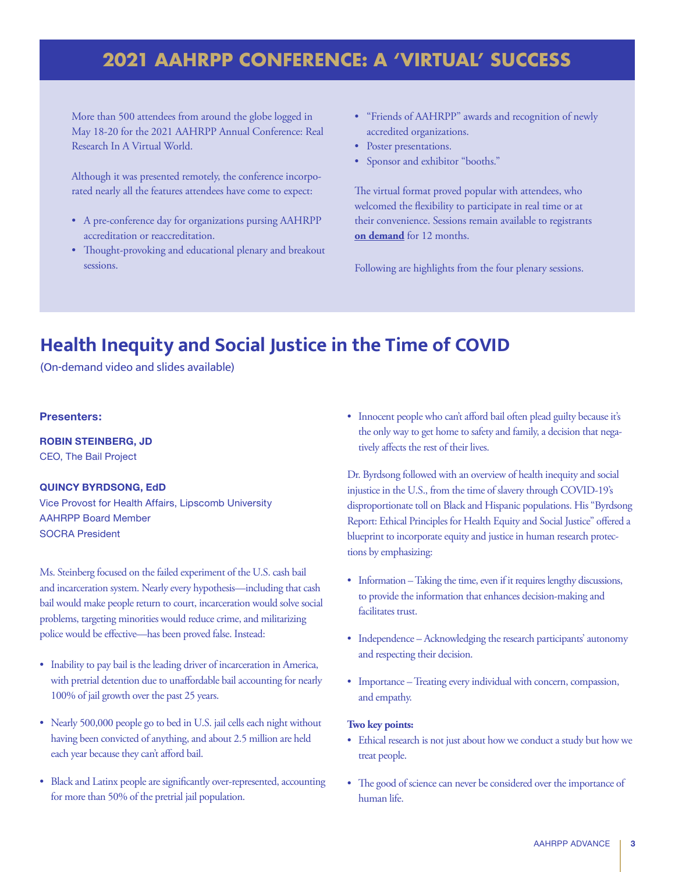# <span id="page-2-0"></span>**2021 AAHRPP CONFERENCE: A 'VIRTUAL' SUCCESS**

More than 500 attendees from around the globe logged in May 18-20 for the 2021 AAHRPP Annual Conference: Real Research In A Virtual World.

Although it was presented remotely, the conference incorporated nearly all the features attendees have come to expect:

- A pre-conference day for organizations pursing AAHRPP accreditation or reaccreditation.
- Thought-provoking and educational plenary and breakout sessions.
- "Friends of AAHRPP" awards and recognition of newly accredited organizations.
- Poster presentations.
- Sponsor and exhibitor "booths."

The virtual format proved popular with attendees, who welcomed the flexibility to participate in real time or at their convenience. Sessions remain available to registrants **[on demand](https://cvent.me/M8wEvb)** for 12 months.

Following are highlights from the four plenary sessions.

# **Health Inequity and Social Justice in the Time of COVID**

(On-demand video and slides available)

#### **Presenters:**

**ROBIN STEINBERG, JD** CEO, The Bail Project

#### **QUINCY BYRDSONG, EdD**

Vice Provost for Health Affairs, Lipscomb University AAHRPP Board Member SOCRA President

Ms. Steinberg focused on the failed experiment of the U.S. cash bail and incarceration system. Nearly every hypothesis—including that cash bail would make people return to court, incarceration would solve social problems, targeting minorities would reduce crime, and militarizing police would be effective—has been proved false. Instead:

- Inability to pay bail is the leading driver of incarceration in America, with pretrial detention due to unaffordable bail accounting for nearly 100% of jail growth over the past 25 years.
- Nearly 500,000 people go to bed in U.S. jail cells each night without having been convicted of anything, and about 2.5 million are held each year because they can't afford bail.
- Black and Latinx people are significantly over-represented, accounting for more than 50% of the pretrial jail population.

• Innocent people who can't afford bail often plead guilty because it's the only way to get home to safety and family, a decision that negatively affects the rest of their lives.

Dr. Byrdsong followed with an overview of health inequity and social injustice in the U.S., from the time of slavery through COVID-19's disproportionate toll on Black and Hispanic populations. His "Byrdsong Report: Ethical Principles for Health Equity and Social Justice" offered a blueprint to incorporate equity and justice in human research protections by emphasizing:

- Information Taking the time, even if it requires lengthy discussions, to provide the information that enhances decision-making and facilitates trust.
- Independence Acknowledging the research participants' autonomy and respecting their decision.
- Importance Treating every individual with concern, compassion, and empathy.

#### **Two key points:**

- Ethical research is not just about how we conduct a study but how we treat people.
- The good of science can never be considered over the importance of human life.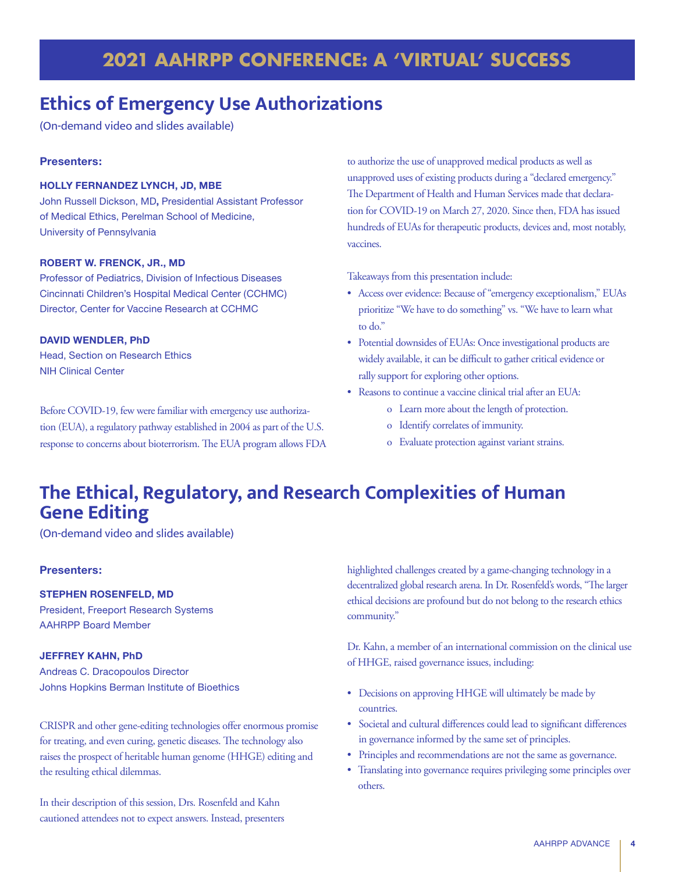# **2021 AAHRPP CONFERENCE: A 'VIRTUAL' SUCCESS**

## **Ethics of Emergency Use Authorizations**

(On-demand video and slides available)

#### **Presenters:**

#### **HOLLY FERNANDEZ LYNCH, JD, MBE**

John Russell Dickson, MD**,** Presidential Assistant Professor of Medical Ethics, Perelman School of Medicine, University of Pennsylvania

#### **ROBERT W. FRENCK, JR., MD**

Professor of Pediatrics, Division of Infectious Diseases Cincinnati Children's Hospital Medical Center (CCHMC) Director, Center for Vaccine Research at CCHMC

#### **DAVID WENDLER, PhD**

Head, Section on Research Ethics NIH Clinical Center

Before COVID-19, few were familiar with emergency use authorization (EUA), a regulatory pathway established in 2004 as part of the U.S. response to concerns about bioterrorism. The EUA program allows FDA to authorize the use of unapproved medical products as well as unapproved uses of existing products during a "declared emergency." The Department of Health and Human Services made that declaration for COVID-19 on March 27, 2020. Since then, FDA has issued hundreds of EUAs for therapeutic products, devices and, most notably, vaccines.

Takeaways from this presentation include:

- Access over evidence: Because of "emergency exceptionalism," EUAs prioritize "We have to do something" vs. "We have to learn what to do."
- Potential downsides of EUAs: Once investigational products are widely available, it can be difficult to gather critical evidence or rally support for exploring other options.
- Reasons to continue a vaccine clinical trial after an EUA:
	- o Learn more about the length of protection.
	- o Identify correlates of immunity.
	- o Evaluate protection against variant strains.

# **The Ethical, Regulatory, and Research Complexities of Human Gene Editing**

(On-demand video and slides available)

#### **Presenters:**

#### **STEPHEN ROSENFELD, MD**

President, Freeport Research Systems AAHRPP Board Member

#### **JEFFREY KAHN, PhD**

Andreas C. Dracopoulos Director Johns Hopkins Berman Institute of Bioethics

CRISPR and other gene-editing technologies offer enormous promise for treating, and even curing, genetic diseases. The technology also raises the prospect of heritable human genome (HHGE) editing and the resulting ethical dilemmas.

In their description of this session, Drs. Rosenfeld and Kahn cautioned attendees not to expect answers. Instead, presenters highlighted challenges created by a game-changing technology in a decentralized global research arena. In Dr. Rosenfeld's words, "The larger ethical decisions are profound but do not belong to the research ethics community."

Dr. Kahn, a member of an international commission on the clinical use of HHGE, raised governance issues, including:

- Decisions on approving HHGE will ultimately be made by countries.
- Societal and cultural differences could lead to significant differences in governance informed by the same set of principles.
- Principles and recommendations are not the same as governance.
- Translating into governance requires privileging some principles over others.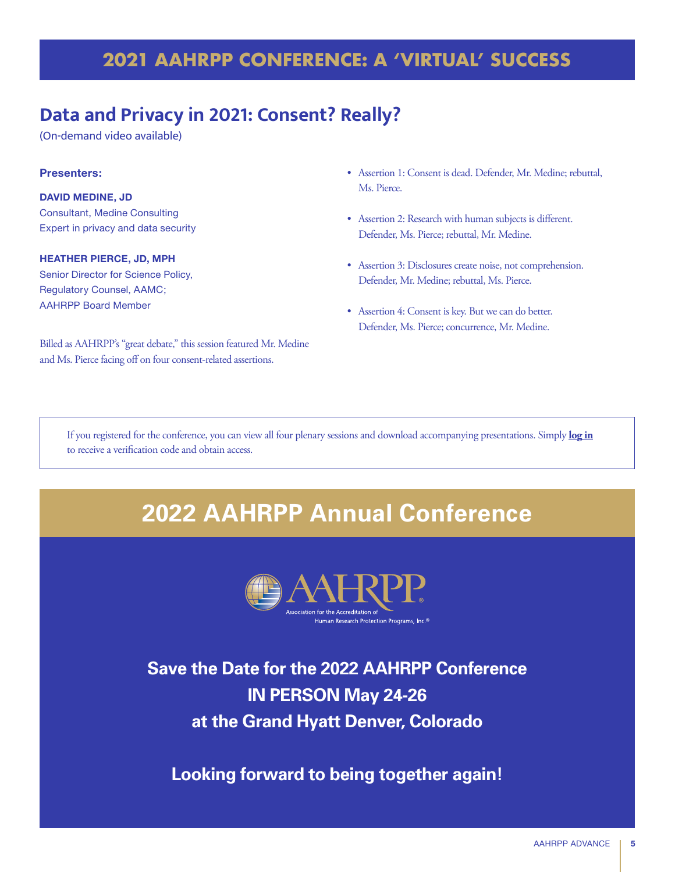# **2021 AAHRPP CONFERENCE: A 'VIRTUAL' SUCCESS**

## **Data and Privacy in 2021: Consent? Really?**

(On-demand video available)

#### **Presenters:**

**DAVID MEDINE, JD** Consultant, Medine Consulting Expert in privacy and data security

**HEATHER PIERCE, JD, MPH** Senior Director for Science Policy, Regulatory Counsel, AAMC; AAHRPP Board Member

Billed as AAHRPP's "great debate," this session featured Mr. Medine and Ms. Pierce facing off on four consent-related assertions.

- Assertion 1: Consent is dead. Defender, Mr. Medine; rebuttal, Ms. Pierce.
- Assertion 2: Research with human subjects is different. Defender, Ms. Pierce; rebuttal, Mr. Medine.
- Assertion 3: Disclosures create noise, not comprehension. Defender, Mr. Medine; rebuttal, Ms. Pierce.
- Assertion 4: Consent is key. But we can do better. Defender, Ms. Pierce; concurrence, Mr. Medine.

If you registered for the conference, you can view all four plenary sessions and download accompanying presentations. Simply **[log in](https://cvent.me/M8wEvb)** to receive a verification code and obtain access.

# **2022 AAHRPP Annual Conference**



**Save the Date for the 2022 AAHRPP Conference IN PERSON May 24-26 at the Grand Hyatt Denver, Colorado**

**Looking forward to being together again!**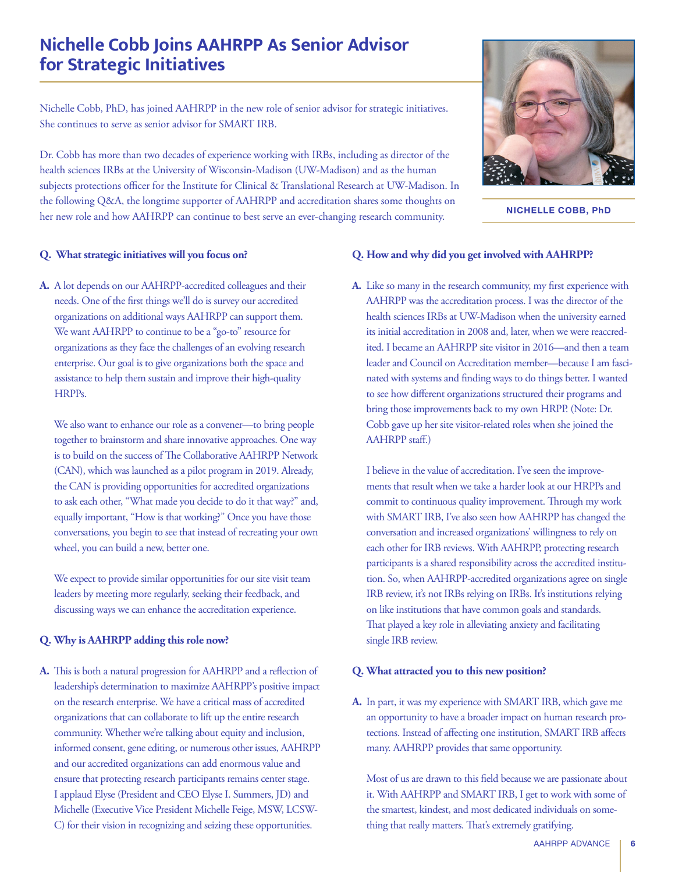## <span id="page-5-0"></span>**Nichelle Cobb Joins AAHRPP As Senior Advisor for Strategic Initiatives**

Nichelle Cobb, PhD, has joined AAHRPP in the new role of senior advisor for strategic initiatives. She continues to serve as senior advisor for SMART IRB.

Dr. Cobb has more than two decades of experience working with IRBs, including as director of the health sciences IRBs at the University of Wisconsin-Madison (UW-Madison) and as the human subjects protections officer for the Institute for Clinical & Translational Research at UW-Madison. In the following Q&A, the longtime supporter of AAHRPP and accreditation shares some thoughts on her new role and how AAHRPP can continue to best serve an ever-changing research community.



**NICHELLE COBB, PhD**

#### **Q. What strategic initiatives will you focus on?**

**A.** A lot depends on our AAHRPP-accredited colleagues and their needs. One of the first things we'll do is survey our accredited organizations on additional ways AAHRPP can support them. We want AAHRPP to continue to be a "go-to" resource for organizations as they face the challenges of an evolving research enterprise. Our goal is to give organizations both the space and assistance to help them sustain and improve their high-quality HRPPs.

 We also want to enhance our role as a convener—to bring people together to brainstorm and share innovative approaches. One way is to build on the success of The Collaborative AAHRPP Network (CAN), which was launched as a pilot program in 2019. Already, the CAN is providing opportunities for accredited organizations to ask each other, "What made you decide to do it that way?" and, equally important, "How is that working?" Once you have those conversations, you begin to see that instead of recreating your own wheel, you can build a new, better one.

 We expect to provide similar opportunities for our site visit team leaders by meeting more regularly, seeking their feedback, and discussing ways we can enhance the accreditation experience.

#### **Q. Why is AAHRPP adding this role now?**

**A.** This is both a natural progression for AAHRPP and a reflection of leadership's determination to maximize AAHRPP's positive impact on the research enterprise. We have a critical mass of accredited organizations that can collaborate to lift up the entire research community. Whether we're talking about equity and inclusion, informed consent, gene editing, or numerous other issues, AAHRPP and our accredited organizations can add enormous value and ensure that protecting research participants remains center stage. I applaud Elyse (President and CEO Elyse I. Summers, JD) and Michelle (Executive Vice President Michelle Feige, MSW, LCSW-C) for their vision in recognizing and seizing these opportunities.

#### **Q. How and why did you get involved with AAHRPP?**

**A.** Like so many in the research community, my first experience with AAHRPP was the accreditation process. I was the director of the health sciences IRBs at UW-Madison when the university earned its initial accreditation in 2008 and, later, when we were reaccredited. I became an AAHRPP site visitor in 2016—and then a team leader and Council on Accreditation member—because I am fascinated with systems and finding ways to do things better. I wanted to see how different organizations structured their programs and bring those improvements back to my own HRPP. (Note: Dr. Cobb gave up her site visitor-related roles when she joined the AAHRPP staff.)

 I believe in the value of accreditation. I've seen the improvements that result when we take a harder look at our HRPPs and commit to continuous quality improvement. Through my work with SMART IRB, I've also seen how AAHRPP has changed the conversation and increased organizations' willingness to rely on each other for IRB reviews. With AAHRPP, protecting research participants is a shared responsibility across the accredited institution. So, when AAHRPP-accredited organizations agree on single IRB review, it's not IRBs relying on IRBs. It's institutions relying on like institutions that have common goals and standards. That played a key role in alleviating anxiety and facilitating single IRB review.

#### **Q. What attracted you to this new position?**

**A.** In part, it was my experience with SMART IRB, which gave me an opportunity to have a broader impact on human research protections. Instead of affecting one institution, SMART IRB affects many. AAHRPP provides that same opportunity.

 Most of us are drawn to this field because we are passionate about it. With AAHRPP and SMART IRB, I get to work with some of the smartest, kindest, and most dedicated individuals on something that really matters. That's extremely gratifying.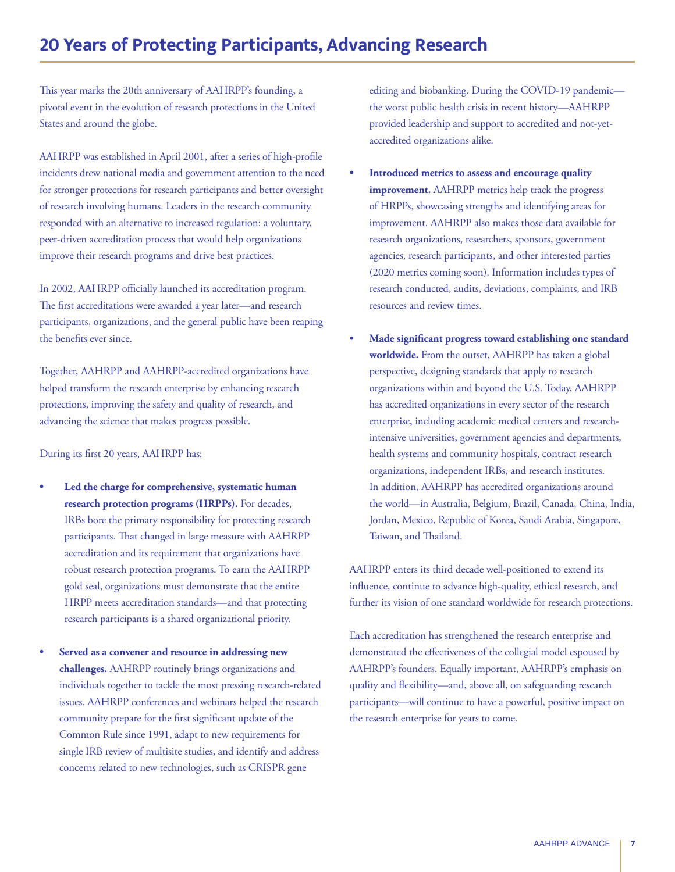## <span id="page-6-0"></span>**20 Years of Protecting Participants, Advancing Research**

This year marks the 20th anniversary of AAHRPP's founding, a pivotal event in the evolution of research protections in the United States and around the globe.

AAHRPP was established in April 2001, after a series of high-profile incidents drew national media and government attention to the need for stronger protections for research participants and better oversight of research involving humans. Leaders in the research community responded with an alternative to increased regulation: a voluntary, peer-driven accreditation process that would help organizations improve their research programs and drive best practices.

In 2002, AAHRPP officially launched its accreditation program. The first accreditations were awarded a year later—and research participants, organizations, and the general public have been reaping the benefits ever since.

Together, AAHRPP and AAHRPP-accredited organizations have helped transform the research enterprise by enhancing research protections, improving the safety and quality of research, and advancing the science that makes progress possible.

During its first 20 years, AAHRPP has:

- **Led the charge for comprehensive, systematic human research protection programs (HRPPs).** For decades, IRBs bore the primary responsibility for protecting research participants. That changed in large measure with AAHRPP accreditation and its requirement that organizations have robust research protection programs. To earn the AAHRPP gold seal, organizations must demonstrate that the entire HRPP meets accreditation standards—and that protecting research participants is a shared organizational priority.
- **Served as a convener and resource in addressing new challenges.** AAHRPP routinely brings organizations and individuals together to tackle the most pressing research-related issues. AAHRPP conferences and webinars helped the research community prepare for the first significant update of the Common Rule since 1991, adapt to new requirements for single IRB review of multisite studies, and identify and address concerns related to new technologies, such as CRISPR gene

editing and biobanking. During the COVID-19 pandemic the worst public health crisis in recent history—AAHRPP provided leadership and support to accredited and not-yetaccredited organizations alike.

- **Introduced metrics to assess and encourage quality improvement.** AAHRPP metrics help track the progress of HRPPs, showcasing strengths and identifying areas for improvement. AAHRPP also makes those data available for research organizations, researchers, sponsors, government agencies, research participants, and other interested parties (2020 metrics coming soon). Information includes types of research conducted, audits, deviations, complaints, and IRB resources and review times.
- **Made significant progress toward establishing one standard worldwide.** From the outset, AAHRPP has taken a global perspective, designing standards that apply to research organizations within and beyond the U.S. Today, AAHRPP has accredited organizations in every sector of the research enterprise, including academic medical centers and researchintensive universities, government agencies and departments, health systems and community hospitals, contract research organizations, independent IRBs, and research institutes. In addition, AAHRPP has accredited organizations around the world—in Australia, Belgium, Brazil, Canada, China, India, Jordan, Mexico, Republic of Korea, Saudi Arabia, Singapore, Taiwan, and Thailand.

AAHRPP enters its third decade well-positioned to extend its influence, continue to advance high-quality, ethical research, and further its vision of one standard worldwide for research protections.

Each accreditation has strengthened the research enterprise and demonstrated the effectiveness of the collegial model espoused by AAHRPP's founders. Equally important, AAHRPP's emphasis on quality and flexibility—and, above all, on safeguarding research participants—will continue to have a powerful, positive impact on the research enterprise for years to come.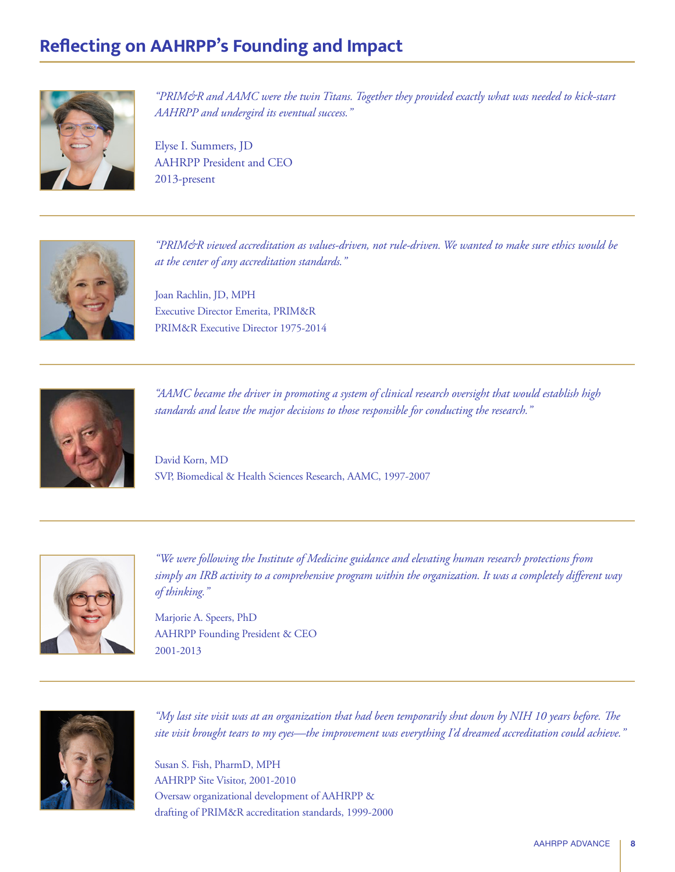# **Reflecting on AAHRPP's Founding and Impact**



*"PRIM&R and AAMC were the twin Titans. Together they provided exactly what was needed to kick-start AAHRPP and undergird its eventual success."*

Elyse I. Summers, JD AAHRPP President and CEO 2013-present



*"PRIM&R viewed accreditation as values-driven, not rule-driven. We wanted to make sure ethics would be at the center of any accreditation standards."* 

Joan Rachlin, JD, MPH Executive Director Emerita, PRIM&R PRIM&R Executive Director 1975-2014



*"AAMC became the driver in promoting a system of clinical research oversight that would establish high standards and leave the major decisions to those responsible for conducting the research."*

David Korn, MD SVP, Biomedical & Health Sciences Research, AAMC, 1997-2007



*"We were following the Institute of Medicine guidance and elevating human research protections from simply an IRB activity to a comprehensive program within the organization. It was a completely different way of thinking."*

Marjorie A. Speers, PhD AAHRPP Founding President & CEO 2001-2013



*"My last site visit was at an organization that had been temporarily shut down by NIH 10 years before. The site visit brought tears to my eyes—the improvement was everything I'd dreamed accreditation could achieve."*

Susan S. Fish, PharmD, MPH AAHRPP Site Visitor, 2001-2010 Oversaw organizational development of AAHRPP & drafting of PRIM&R accreditation standards, 1999-2000